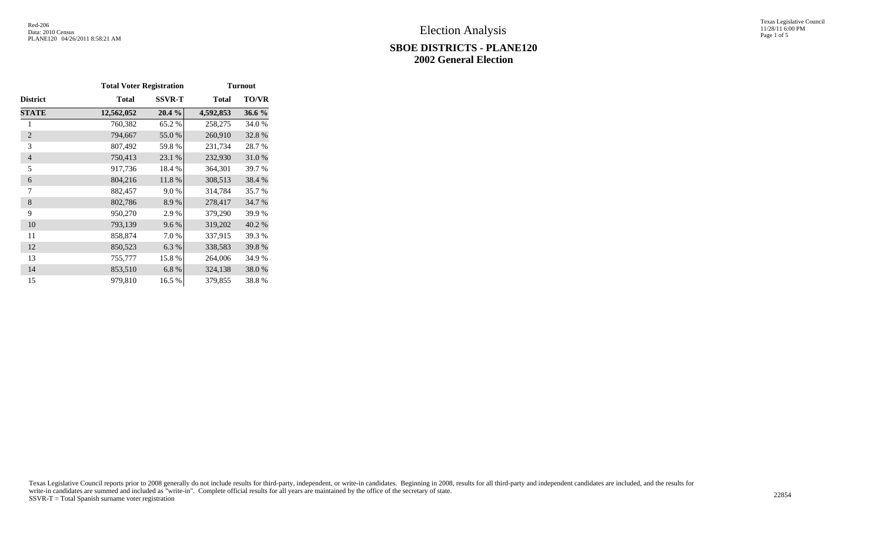#### **SBOE DISTRICTS - PLANE120 2002 General Election**

Texas Legislative Council 11/28/11 6:00 PM Page 1 of 5

|                 | <b>Total Voter Registration</b> |               |              | <b>Turnout</b> |
|-----------------|---------------------------------|---------------|--------------|----------------|
| <b>District</b> | <b>Total</b>                    | <b>SSVR-T</b> | <b>Total</b> | <b>TO/VR</b>   |
| <b>STATE</b>    | 12,562,052                      | 20.4%         | 4,592,853    | 36.6 %         |
| 1               | 760,382                         | 65.2 %        | 258,275      | 34.0 %         |
| $\overline{2}$  | 794,667                         | 55.0%         | 260,910      | 32.8%          |
| 3               | 807,492                         | 59.8%         | 231,734      | 28.7 %         |
| $\overline{4}$  | 750,413                         | 23.1 %        | 232,930      | 31.0%          |
| 5               | 917,736                         | 18.4 %        | 364,301      | 39.7 %         |
| 6               | 804,216                         | 11.8%         | 308,513      | 38.4 %         |
| 7               | 882,457                         | 9.0%          | 314,784      | 35.7 %         |
| 8               | 802,786                         | 8.9%          | 278,417      | 34.7 %         |
| 9               | 950,270                         | 2.9%          | 379,290      | 39.9%          |
| 10              | 793,139                         | 9.6%          | 319,202      | 40.2 %         |
| 11              | 858,874                         | 7.0%          | 337,915      | 39.3 %         |
| 12              | 850,523                         | 6.3%          | 338,583      | 39.8%          |
| 13              | 755,777                         | 15.8%         | 264,006      | 34.9 %         |
| 14              | 853,510                         | 6.8%          | 324,138      | 38.0%          |
| 15              | 979,810                         | 16.5 %        | 379,855      | 38.8%          |

Texas Legislative Council reports prior to 2008 generally do not include results for third-party, independent, or write-in candidates. Beginning in 2008, results for all third-party and independent candidates are included, write-in candidates are summed and included as "write-in". Complete official results for all years are maintained by the office of the secretary of state. 22854<br>SSVR-T = Total Spanish surname voter registration 22854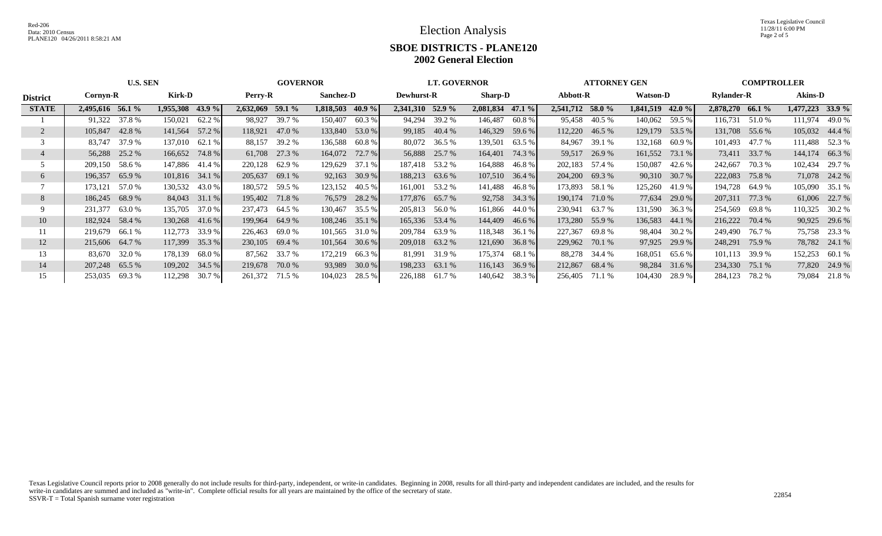Texas Legislative Council 11/28/11 6:00 PM Page 2 of 5

# **SBOE DISTRICTS - PLANE120 2002 General Election**

|                 | <b>U.S. SEN</b><br><b>GOVERNOR</b> |                                |                  |                   |                  |               |                  | <b>LT. GOVERNOR</b> |                  |                 |                    | <b>ATTORNEY GEN</b> |                   |                | <b>COMPTROLLER</b> |          |                  |               |                  |               |
|-----------------|------------------------------------|--------------------------------|------------------|-------------------|------------------|---------------|------------------|---------------------|------------------|-----------------|--------------------|---------------------|-------------------|----------------|--------------------|----------|------------------|---------------|------------------|---------------|
| <b>District</b> | Cornyn-R                           | Kirk-D<br>Perry-R<br>Sanchez-D |                  | <b>Dewhurst-R</b> | <b>Sharp-D</b>   |               |                  | Abbott-R            |                  | <b>Watson-D</b> |                    |                     | <b>Rylander-R</b> |                | <b>Akins-D</b>     |          |                  |               |                  |               |
| <b>STATE</b>    | 2,495,616 56.1 %                   |                                | 1,955,308 43.9 % |                   | 2,632,069 59.1 % |               | 1,818,503 40.9 % |                     | 2,341,310 52.9 % |                 | $2,081,834$ 47.1 % |                     | 2,541,712 58.0 %  |                | 1,841,519          | 42.0 $%$ | 2,878,270 66.1 % |               | 1,477,223 33.9 % |               |
|                 | 91,322                             | 37.8 %                         | 150,021          | 62.2 %            | 98.927           | 39.7 %        | 150,407          | 60.3%               |                  | 94,294 39.2 %   | 146,487            | 60.8%               | 95,458            | 40.5 %         | 140,062            | 59.5 %   | 116,731          | 51.0 %        | 111,974          | 49.0 %        |
|                 | 105,847 42.8 %                     |                                | 141,564          | 57.2 %            | 118,921          | 47.0 %        | 133,840 53.0 %   |                     |                  | 99,185 40.4 %   | 146,329            | 59.6 %              |                   | 112,220 46.5 % | 129,179            | 53.5 %   | 131,708 55.6 %   |               | 105,032 44.4 %   |               |
|                 | 83,747                             | 37.9 %                         | 137,010          | 62.1 %            | 88,157           | 39.2 %        | 136,588          | 60.8 %              |                  | 80,072 36.5 %   | 139,501            | 63.5 %              | 84,967            | 39.1 %         | 132,168            | 60.9%    | 101,493 47.7 %   |               | 111,488 52.3 %   |               |
|                 | 56,288                             | 25.2 %                         | 166,652 74.8 %   |                   | 61,708           | 27.3 %        | 164,072          | 72.7 %              | 56,888           | 25.7 %          | 164,401            | 74.3 %              | 59,517            | 26.9%          | 161,552            | 73.1 %   |                  | 73,411 33.7 % | 144,174          | 66.3%         |
|                 | 209,150                            | 58.6 %                         | 147,886 41.4 %   |                   | 220,128          | 62.9%         | 129,629          | 37.1 %              | 187,418 53.2 %   |                 | 164,888            | 46.8 %              |                   | 202,183 57.4 % | 150,087            | 42.6 %   | 242,667          | 70.3 %        | 102,434          | 29.7 %        |
| 6               | 196,357                            | 65.9%                          | $101,816$ 34.1 % |                   | 205,637          | 69.1 %        | 92,163           | 30.9%               | 188,213 63.6 %   |                 | 107,510 36.4 %     |                     |                   | 204,200 69.3 % | 90,310             | 30.7%    | 222,083          | 75.8 %        |                  | 71,078 24.2 % |
|                 | 173,121                            | 57.0 %                         | 130,532          | 43.0 %            | 180,572          | 59.5 %        | 123,152          | 40.5 %              | 161,001          | 53.2 %          | 141,488            | 46.8 %              |                   | 173,893 58.1 % | 125,260            | 41.9%    | 194,728          | 64.9 %        | 105,090 35.1 %   |               |
| 8               | 186,245                            | 68.9 %                         | $84,043$ 31.1 %  |                   | 195,402 71.8 %   |               | 76,579           | 28.2 %              | 177,876 65.7 %   |                 | 92,758             | 34.3 %              | 190,174           | 71.0 %         | 77,634             | 29.0%    | 207,311          | 77.3 %        |                  | 61,006 22.7 % |
|                 | 231,377                            | 63.0 %                         | 135,705          | 37.0 %            | 237,473          | 64.5 %        | 130,467          | 35.5 %              | 205,813          | 56.0 %          | 161,866            | 44.0 %              | 230,941           | 63.7 %         | 131,590            | 36.3 %   | 254,569          | 69.8 %        | 110,325          | 30.2 %        |
| 10              | 182,924 58.4 %                     |                                | $130,268$ 41.6 % |                   | 199,964          | 64.9%         | 108,246 35.1 %   |                     |                  | 165,336 53.4 %  | 144,409            | 46.6 %              |                   | 173,280 55.9 % | 136,583            | 44.1%    | 216,222          | 70.4 %        |                  | 90,925 29.6 % |
| 11              | 219,679                            | 66.1 %                         | 112,773          | 33.9 %            | 226,463          | 69.0 %        | 101,565          | 31.0 %              | 209,784          | 63.9 %          | 118,348            | 36.1 %              | 227,367           | 69.8 %         | 98,404             | 30.2 %   | 249,490          | 76.7 %        |                  | 75,758 23.3 % |
| 12              | 215,606 64.7 %                     |                                | 117,399 35.3 %   |                   | 230,105 69.4 %   |               | 101,564          | 30.6 %              | 209,018 63.2 %   |                 | 121,690            | 36.8 %              | 229,962           | 70.1 %         | 97,925             | 29.9%    | 248,291 75.9 %   |               |                  | 78,782 24.1 % |
| 13              | 83.670                             | 32.0 %                         | 178,139          | 68.0%             |                  | 87,562 33.7 % | 172,219          | 66.3%               | 81,991           | 31.9%           | 175,374            | 68.1 %              |                   | 88,278 34.4 %  | 168,051            | 65.6 %   | 101,113          | 39.9 %        | 152,253          | 60.1 %        |
| 14              | 207,248                            | 65.5 %                         | 109,202 34.5 %   |                   | 219,678          | 70.0 %        | 93,989           | 30.0 %              | 198,233 63.1 %   |                 | 116,143            | 36.9 %              | 212,867           | 68.4 %         | 98,284             | 31.6 %   | 234,330          | 75.1 %        | 77,820           | 24.9 %        |
| 15              | 253,035                            | 69.3 %                         | 112,298          | 30.7 %            | 261,372 71.5 %   |               | 104,023          | 28.5 %              | 226,188 61.7 %   |                 | 140,642            | 38.3 %              | 256,405           | 71.1 %         | 104,430            | 28.9 %   | 284,123          | 78.2 %        |                  | 79,084 21.8 % |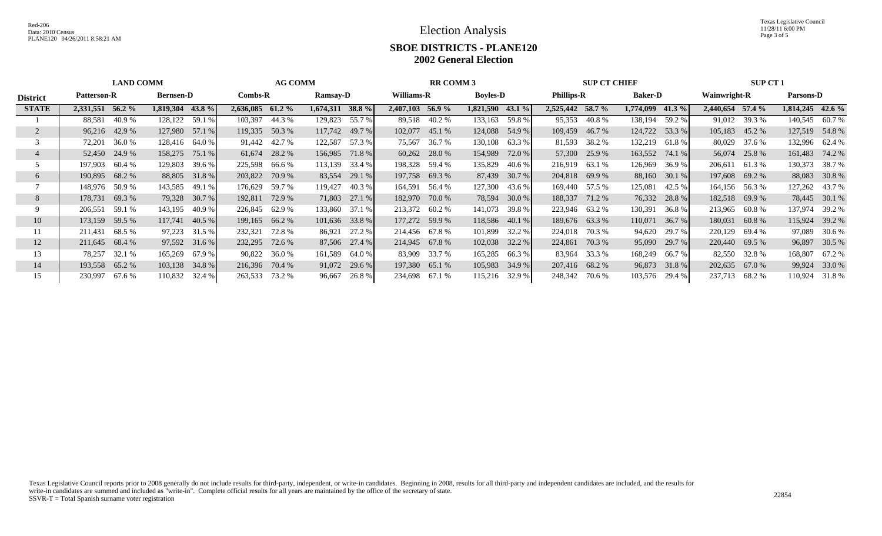## **SBOE DISTRICTS - PLANE120 2002 General Election**

|                 | <b>LAND COMM</b>                                                       |          |                  |               |                  | <b>AG COMM</b> |                    |               |                   | <b>RR COMM 3</b> |                    |        |                  | <b>SUP CT CHIEF</b> |           |                  |                    | <b>SUP CT 1</b> |                    |               |  |
|-----------------|------------------------------------------------------------------------|----------|------------------|---------------|------------------|----------------|--------------------|---------------|-------------------|------------------|--------------------|--------|------------------|---------------------|-----------|------------------|--------------------|-----------------|--------------------|---------------|--|
| <b>District</b> | $Combs-R$<br><b>Ramsay-D</b><br><b>Patterson-R</b><br><b>Bernsen-D</b> |          |                  |               | Williams-R       |                | <b>Boyles-D</b>    |               | <b>Phillips-R</b> |                  | <b>Baker-D</b>     |        |                  | <b>Wainwright-R</b> |           | <b>Parsons-D</b> |                    |                 |                    |               |  |
| <b>STATE</b>    | 2,331,551                                                              | 56.2 $%$ | 1,819,304 43.8 % |               | 2,636,085 61.2 % |                | $1,674,311$ 38.8 % |               | 2,407,103 56.9 %  |                  | $1,821,590$ 43.1 % |        | 2,525,442 58.7 % |                     | 1,774,099 | 41.3 $%$         | $2,440,654$ 57.4 % |                 | $1,814,245$ 42.6 % |               |  |
|                 | 88,581                                                                 | 40.9%    | 128,122          | 59.1 %        | 103,397          | 44.3 %         | 129,823            | 55.7 %        |                   | 89,518 40.2 %    | 133,163            | 59.8%  | 95,353           | 40.8 %              | 138,194   | 59.2 %           |                    | 91,012 39.3 %   | 140,545 60.7%      |               |  |
|                 | 96,216 42.9 %                                                          |          | 127,980 57.1 %   |               | 119,335 50.3 %   |                | 117,742            | 49.7 %        | 102,077 45.1 %    |                  | 124,088            | 54.9 % | 109,459          | 46.7 %              | 124,722   | 53.3 %           | 105,183            | 45.2 %          | 127,519 54.8 %     |               |  |
|                 | 72,201                                                                 | 36.0 %   | 128,416          | 64.0 %        |                  | 91,442 42.7 %  | 122,587            | 57.3 %        | 75,567            | 36.7 %           | 130,108            | 63.3 % |                  | 81,593 38.2 %       | 132,219   | 61.8 %           | 80,029             | 37.6 %          | 132,996 62.4 %     |               |  |
|                 | 52,450                                                                 | 24.9 %   | 158,275          | 75.1 %        | 61,674           | 28.2 %         | 156,985            | 71.8 %        |                   | $60,262$ 28.0 %  | 154,989            | 72.0 % |                  | 57,300 25.9 %       | 163,552   | 74.1 %           | 56,074             | 25.8%           | 161,483            | 74.2 %        |  |
|                 | 197,903                                                                | 60.4 %   | 129,803          | 39.6 %        | 225,598          | 66.6 %         | 113,139            | 33.4 %        | 198,328 59.4 %    |                  | 135,829            | 40.6 % | 216,919          | 63.1 %              | 126,969   | 36.9%            | 206,611            | 61.3%           | 130,373            | 38.7 %        |  |
| 6               | 190,895 68.2 %                                                         |          |                  | 88,805 31.8 % | 203,822          | 70.9 %         | 83,554             | 29.1 %        | 197,758 69.3 %    |                  | 87,439             | 30.7 % |                  | 204,818 69.9 %      | 88,160    | 30.1%            | 197,608 69.2 %     |                 |                    | 88,083 30.8 % |  |
|                 | 148,976 50.9 %                                                         |          | 143,585          | 49.1 %        | 176,629          | 59.7 %         | 119,427            | 40.3%         | 164,591           | 56.4 %           | 127,300            | 43.6 % |                  | 169,440 57.5 %      | 125,081   | 42.5 %           | 164,156 56.3 %     |                 | 127,262 43.7 %     |               |  |
| 8               | 178,731                                                                | 69.3%    | 79,328           | 30.7%         | 192,811          | 72.9 %         | 71,803             | 27.1 %        | 182,970 70.0 %    |                  | 78,594             | 30.0 % | 188,337          | 71.2 %              | 76,332    | 28.8 %           | 182,518 69.9 %     |                 |                    | 78,445 30.1 % |  |
| 9               | 206,551                                                                | 59.1 %   | 143,195          | 40.9 %        | 226,845          | 62.9%          | 133,860            | 37.1 %        | 213,372 60.2 %    |                  | 141,073            | 39.8%  |                  | 223,946 63.2 %      | 130,391   | 36.8%            | 213,965            | 60.8 %          | 137,974            | 39.2 %        |  |
| 10              | 173,159                                                                | 59.5 %   | 117,741          | 40.5%         | 199,165          | 66.2%          | 101,636            | 33.8 %        | 177,272 59.9 %    |                  | 118,586            | 40.1 % |                  | 189,676 63.3 %      | 110,071   | 36.7%            | 180,031            | 60.8%           | 115,924            | 39.2 %        |  |
|                 | 211,431                                                                | 68.5 %   | 97,223           | 31.5 %        | 232,321          | 72.8%          | 86,921             | 27.2 %        | 214,456 67.8 %    |                  | 101,899            | 32.2 % | 224,018          | 70.3 %              | 94,620    | 29.7 %           | 220,129            | 69.4 %          | 97,089             | 30.6 %        |  |
| 12              | 211,645                                                                | 68.4 %   | 97,592 31.6 %    |               | 232,295          | 72.6 %         |                    | 87,506 27.4 % | 214,945 67.8 %    |                  | 102,038            | 32.2 % | 224,861          | 70.3 %              | 95,090    | 29.7 %           | 220,440            | 69.5 %          |                    | 96,897 30.5 % |  |
| 13              | 78,257                                                                 | 32.1 %   | 165,269          | 67.9%         | 90,822           | 36.0%          | 161,589            | 64.0 %        |                   | 83,909 33.7 %    | 165,285            | 66.3%  | 83,964           | 33.3 %              | 168,249   | 66.7%            |                    | 82,550 32.8 %   | 168,807            | 67.2 %        |  |
| 14              | 193,558                                                                | 65.2 %   | 103,138 34.8 %   |               | 216,396          | 70.4 %         | 91,072             | 29.6 %        | 197,380 65.1 %    |                  | 105,983            | 34.9 % |                  | 207,416 68.2 %      | 96,873    | 31.8 %           | 202,635            | 67.0 %          | 99,924             | 33.0 %        |  |
| 15              | 230,997                                                                | 67.6 %   | 110,832          | 32.4 %        | 263,533          | 73.2 %         | 96,667             | 26.8%         | 234,698 67.1 %    |                  | 115,216            | 32.9 % | 248,342          | 70.6 %              | 103,576   | 29.4 %           | 237,713            | 68.2 %          | 110,924            | 31.8 %        |  |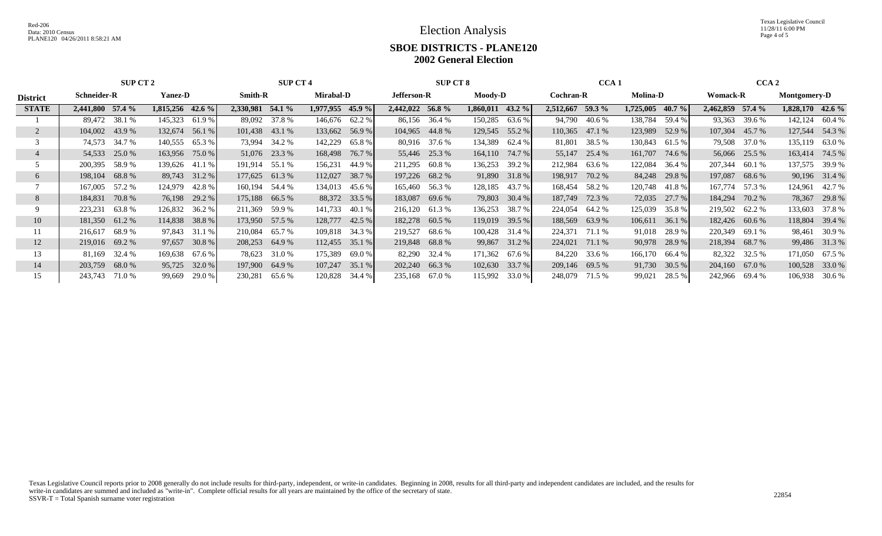Texas Legislative Council 11/28/11 6:00 PM Page 4 of 5

## **SBOE DISTRICTS - PLANE120 2002 General Election**

|                 | <b>SUP CT 2</b><br><b>SUP CT 4</b>                                         |        |           |               |                  |         |                |               | <b>SUP CT 8</b>  |        | CCA <sub>1</sub> |                 |           | CCA <sub>2</sub>    |           |           |                |               |                  |               |
|-----------------|----------------------------------------------------------------------------|--------|-----------|---------------|------------------|---------|----------------|---------------|------------------|--------|------------------|-----------------|-----------|---------------------|-----------|-----------|----------------|---------------|------------------|---------------|
| <b>District</b> | <b>Smith-R</b><br><b>Mirabal-D</b><br><b>Schneider-R</b><br><b>Yanez-D</b> |        |           | Jefferson-R   |                  | Moody-D |                |               | <b>Cochran-R</b> |        | <b>Molina-D</b>  | <b>Womack-R</b> |           | <b>Montgomery-D</b> |           |           |                |               |                  |               |
| <b>STATE</b>    | 2,441,800 57.4 %                                                           |        | 1,815,256 | 42.6 $%$      | 2,330,981 54.1 % |         | 1,977,955      | 45.9%         | 2,442,022 56.8 % |        | 1,860,011        | 43.2 $%$        | 2,512,667 | 59.3 $%$            | 1,725,005 | $40.7 \%$ | 2,462,859      | $57.4 \%$     | 1,828,170 42.6 % |               |
|                 | 89,472 38.1 %                                                              |        | 145,323   | 61.9%         | 89,092           | 37.8 %  | 146,676 62.2 % |               | 86,156           | 36.4 % | 150,285          | 63.6 %          | 94,790    | 40.6 %              | 138,784   | 59.4 %    | 93,363         | 39.6 %        | 142,124          | 60.4 %        |
|                 | 104,002 43.9 %                                                             |        | 132,674   | 56.1 %        | 101,438 43.1 %   |         | 133,662        | 56.9%         | 104,965          | 44.8%  | 129,545          | 55.2 %          | 110,365   | 47.1 %              | 123,989   | 52.9 %    | 107,304        | 45.7 %        | 127,544          | 54.3 %        |
|                 | 74,573 34.7 %                                                              |        | 140,555   | 65.3%         | 73,994           | 34.2 %  | 142,229        | 65.8%         | 80,916           | 37.6 % | 134,389          | 62.4 %          | 81,801    | 38.5 %              | 130,843   | 61.5 %    |                | 79,508 37.0 % | 135,119          | 63.0 %        |
|                 | 54,533                                                                     | 25.0 % | 163,956   | 75.0 %        | 51,076           | 23.3 %  | 168,498        | 76.7 %        | 55,446           | 25.3 % | 164,110          | 74.7 %          | 55,147    | 25.4 %              | 161,707   | 74.6 %    |                | 56,066 25.5 % | 163,414          | 74.5 %        |
|                 | 200,395                                                                    | 58.9 % | 139,626   | 41.1 %        | 191,914          | 55.1 %  | 156,231        | 44.9 %        | 211,295          | 60.8 % | 136,253          | 39.2 %          | 212,984   | 63.6 %              | 122,084   | 36.4 %    | 207,344        | 60.1 %        | 137,575          | 39.9 %        |
| 6               | 198,104                                                                    | 68.8 % |           | 89,743 31.2 % | 177,625          | 61.3%   | 112,027        | 38.7 %        | 197,226 68.2 %   |        | 91,890           | 31.8 %          | 198,917   | 70.2 %              | 84,248    | 29.8%     | 197,087        | 68.6 %        |                  | 90,196 31.4 % |
|                 | 167,005                                                                    | 57.2 % | 124,979   | 42.8%         | 160,194          | 54.4 %  | 134,013        | 45.6 %        | 165,460          | 56.3%  | 128,185          | 43.7 %          | 168,454   | 58.2 %              | 120,748   | 41.8%     | 167,774        | 57.3 %        | 124,961          | 42.7 %        |
| 8               | 184,831                                                                    | 70.8%  | 76,198    | 29.2 %        | 175,188          | 66.5%   |                | 88,372 33.5 % | 183,087          | 69.6 % | 79,803           | 30.4 %          | 187,749   | 72.3 %              | 72,035    | 27.7 %    | 184,294        | 70.2 %        | 78,367           | 29.8%         |
|                 | 223,231                                                                    | 63.8%  | 126,832   | 36.2 %        | 211,369          | 59.9 %  | 141,733        | 40.1%         | 216,120          | 61.3%  | 136,253          | 38.7 %          | 224,054   | 64.2 %              | 125,039   | 35.8%     | 219,502 62.2 % |               | 133,603          | 37.8 %        |
| 10              | 181,350                                                                    | 61.2%  | 114,838   | 38.8 %        | 173,950          | 57.5 %  | 128,777        | 42.5 %        | 182,278          | 60.5 % | 119,019          | 39.5 %          | 188,569   | 63.9%               | 106,611   | 36.1 %    | 182,426 60.6 % |               | 118,804          | 39.4 %        |
|                 | 216,617                                                                    | 68.9 % | 97,843    | 31.1 %        | 210,084          | 65.7 %  | 109,818        | 34.3 %        | 219,527          | 68.6 % | 100,428          | 31.4 %          | 224,371   | 71.1 %              | 91,018    | 28.9%     | 220,349 69.1 % |               | 98,461           | 30.9 %        |
| 12              | 219,016                                                                    | 69.2 % | 97,657    | 30.8%         | 208,253          | 64.9%   | 112,455        | 35.1 %        | 219,848 68.8%    |        | 99,867           | 31.2 %          | 224,021   | 71.1 %              | 90,978    | 28.9%     | 218,394 68.7 % |               |                  | 99,486 31.3 % |
| 13              | 81,169                                                                     | 32.4 % | 169,638   | 67.6 %        | 78,623           | 31.0 %  | 175,389        | 69.0%         | 82,290           | 32.4 % | 171,362          | 67.6 %          | 84,220    | 33.6 %              | 166,170   | 66.4 %    | 82,322         | 32.5 %        | 171,050          | 67.5 %        |
| 14              | 203,759                                                                    | 68.0 % | 95,725    | 32.0 %        | 197,900          | 64.9%   | 107,247        | 35.1 %        | 202,240          | 66.3%  | 102,630          | 33.7 %          | 209,146   | 69.5 %              | 91,730    | 30.5 %    | 204,160        | 67.0 %        | 100,528          | 33.0 %        |
| 15              | 243,743                                                                    | 71.0 % | 99,669    | 29.0 %        | 230,281          | 65.6 %  | 120,828        | 34.4 %        | 235,168          | 67.0 % | 115,992          | 33.0 %          | 248,079   | 71.5 %              | 99,021    | 28.5 %    | 242,966        | 69.4 %        | 106,938          | 30.6 %        |